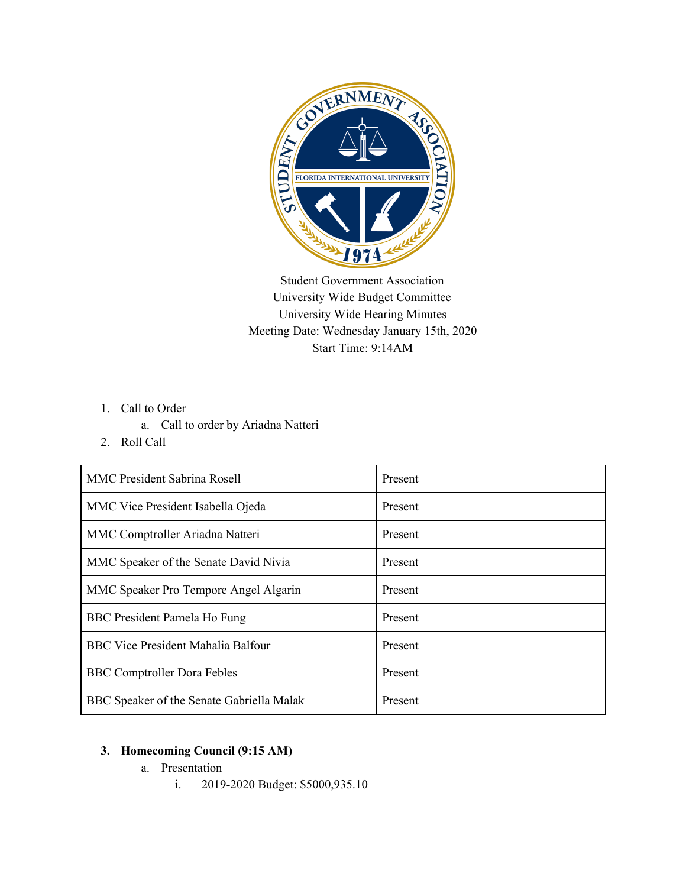

Student Government Association University Wide Budget Committee University Wide Hearing Minutes Meeting Date: Wednesday January 15th, 2020 Start Time: 9:14AM

- 1. Call to Order
	- a. Call to order by Ariadna Natteri
- 2. Roll Call

| <b>MMC President Sabrina Rosell</b>       | Present |
|-------------------------------------------|---------|
| MMC Vice President Isabella Ojeda         | Present |
| MMC Comptroller Ariadna Natteri           | Present |
| MMC Speaker of the Senate David Nivia     | Present |
| MMC Speaker Pro Tempore Angel Algarin     | Present |
| BBC President Pamela Ho Fung              | Present |
| <b>BBC Vice President Mahalia Balfour</b> | Present |
| <b>BBC Comptroller Dora Febles</b>        | Present |
| BBC Speaker of the Senate Gabriella Malak | Present |

## **3. Homecoming Council (9:15 AM)**

- a. Presentation
	- i. 2019-2020 Budget: \$5000,935.10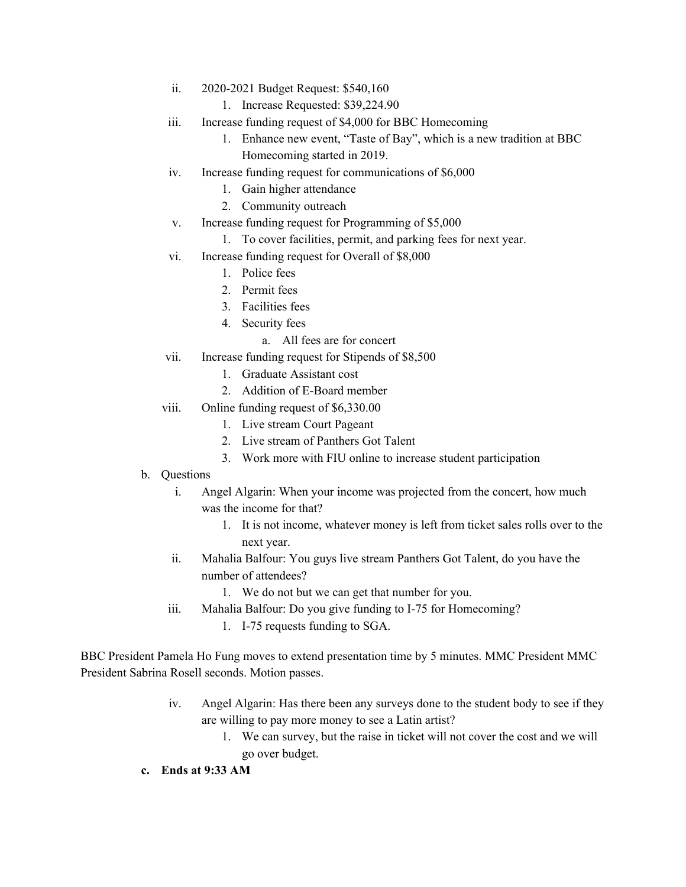- ii. 2020-2021 Budget Request: \$540,160
	- 1. Increase Requested: \$39,224.90
- iii. Increase funding request of \$4,000 for BBC Homecoming
	- 1. Enhance new event, "Taste of Bay", which is a new tradition at BBC Homecoming started in 2019.
- iv. Increase funding request for communications of \$6,000
	- 1. Gain higher attendance
	- 2. Community outreach
- v. Increase funding request for Programming of \$5,000
	- 1. To cover facilities, permit, and parking fees for next year.
- vi. Increase funding request for Overall of \$8,000
	- 1. Police fees
	- 2. Permit fees
	- 3. Facilities fees
	- 4. Security fees
		- a. All fees are for concert
- vii. Increase funding request for Stipends of \$8,500
	- 1. Graduate Assistant cost
	- 2. Addition of E-Board member
- viii. Online funding request of \$6,330.00
	- 1. Live stream Court Pageant
	- 2. Live stream of Panthers Got Talent
	- 3. Work more with FIU online to increase student participation
- b. Questions
	- i. Angel Algarin: When your income was projected from the concert, how much was the income for that?
		- 1. It is not income, whatever money is left from ticket sales rolls over to the next year.
	- ii. Mahalia Balfour: You guys live stream Panthers Got Talent, do you have the number of attendees?
		- 1. We do not but we can get that number for you.
	- iii. Mahalia Balfour: Do you give funding to I-75 for Homecoming?
		- 1. I-75 requests funding to SGA.

BBC President Pamela Ho Fung moves to extend presentation time by 5 minutes. MMC President MMC President Sabrina Rosell seconds. Motion passes.

- iv. Angel Algarin: Has there been any surveys done to the student body to see if they are willing to pay more money to see a Latin artist?
	- 1. We can survey, but the raise in ticket will not cover the cost and we will go over budget.
- **c. Ends at 9:33 AM**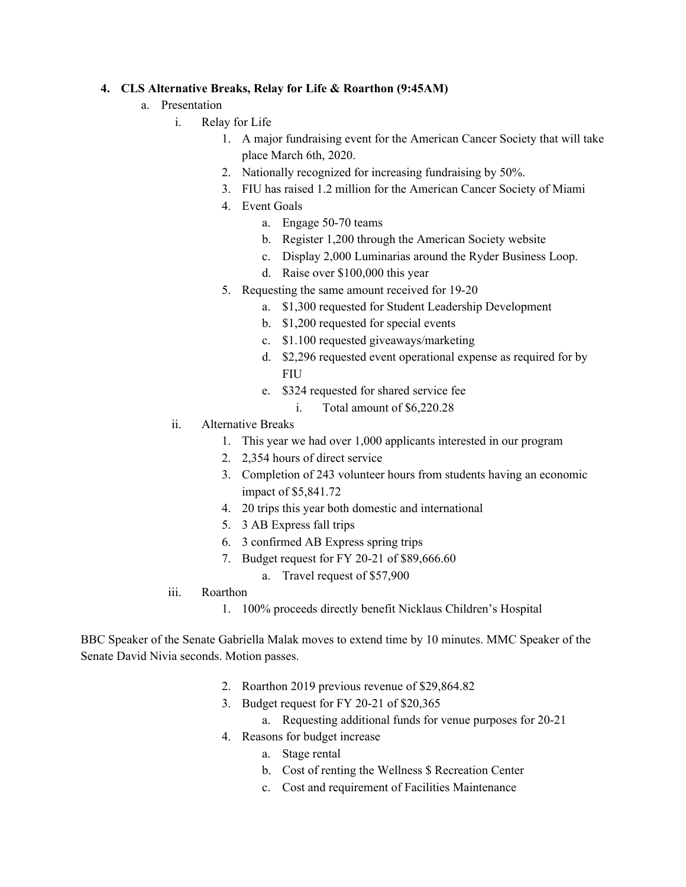## **4. CLS Alternative Breaks, Relay for Life & Roarthon (9:45AM)**

- a. Presentation
	- i. Relay for Life
		- 1. A major fundraising event for the American Cancer Society that will take place March 6th, 2020.
		- 2. Nationally recognized for increasing fundraising by 50%.
		- 3. FIU has raised 1.2 million for the American Cancer Society of Miami
		- 4. Event Goals
			- a. Engage 50-70 teams
			- b. Register 1,200 through the American Society website
			- c. Display 2,000 Luminarias around the Ryder Business Loop.
			- d. Raise over \$100,000 this year
		- 5. Requesting the same amount received for 19-20
			- a. \$1,300 requested for Student Leadership Development
			- b. \$1,200 requested for special events
			- c. \$1.100 requested giveaways/marketing
			- d. \$2,296 requested event operational expense as required for by FIU
			- e. \$324 requested for shared service fee
				- i. Total amount of \$6,220.28
		- ii. Alternative Breaks
			- 1. This year we had over 1,000 applicants interested in our program
			- 2. 2,354 hours of direct service
			- 3. Completion of 243 volunteer hours from students having an economic impact of \$5,841.72
			- 4. 20 trips this year both domestic and international
			- 5. 3 AB Express fall trips
			- 6. 3 confirmed AB Express spring trips
			- 7. Budget request for FY 20-21 of \$89,666.60
				- a. Travel request of \$57,900
	- iii. Roarthon
		- 1. 100% proceeds directly benefit Nicklaus Children's Hospital

BBC Speaker of the Senate Gabriella Malak moves to extend time by 10 minutes. MMC Speaker of the Senate David Nivia seconds. Motion passes.

- 2. Roarthon 2019 previous revenue of \$29,864.82
- 3. Budget request for FY 20-21 of \$20,365
	- a. Requesting additional funds for venue purposes for 20-21
- 4. Reasons for budget increase
	- a. Stage rental
	- b. Cost of renting the Wellness \$ Recreation Center
	- c. Cost and requirement of Facilities Maintenance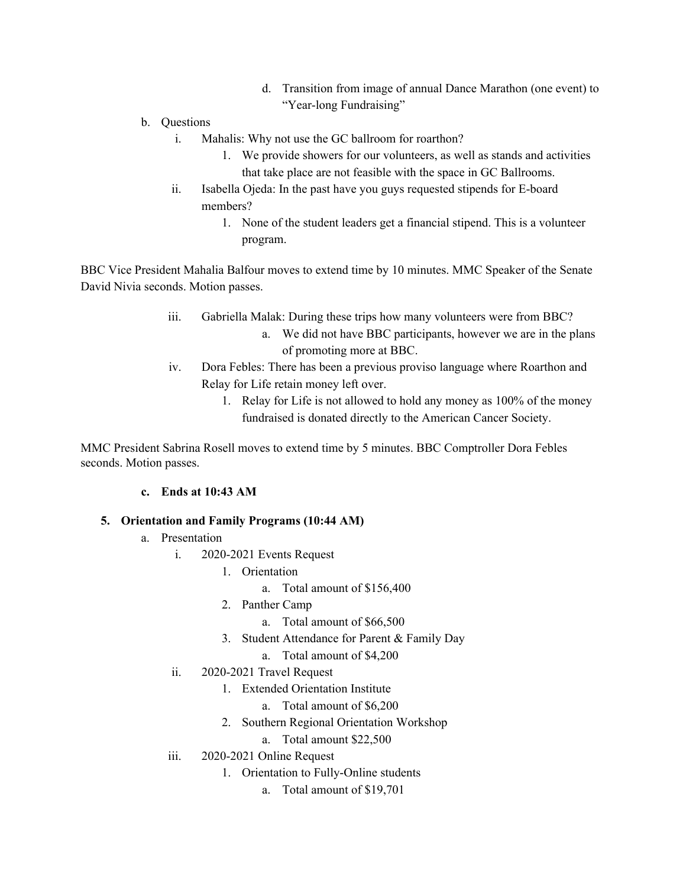- d. Transition from image of annual Dance Marathon (one event) to "Year-long Fundraising"
- b. Questions
	- i. Mahalis: Why not use the GC ballroom for roarthon?
		- 1. We provide showers for our volunteers, as well as stands and activities that take place are not feasible with the space in GC Ballrooms.
	- ii. Isabella Ojeda: In the past have you guys requested stipends for E-board members?
		- 1. None of the student leaders get a financial stipend. This is a volunteer program.

BBC Vice President Mahalia Balfour moves to extend time by 10 minutes. MMC Speaker of the Senate David Nivia seconds. Motion passes.

- iii. Gabriella Malak: During these trips how many volunteers were from BBC?
	- a. We did not have BBC participants, however we are in the plans of promoting more at BBC.
- iv. Dora Febles: There has been a previous proviso language where Roarthon and Relay for Life retain money left over.
	- 1. Relay for Life is not allowed to hold any money as 100% of the money fundraised is donated directly to the American Cancer Society.

MMC President Sabrina Rosell moves to extend time by 5 minutes. BBC Comptroller Dora Febles seconds. Motion passes.

## **c. Ends at 10:43 AM**

## **5. Orientation and Family Programs (10:44 AM)**

- a. Presentation
	- i. 2020-2021 Events Request
		- 1. Orientation
			- a. Total amount of \$156,400
		- 2. Panther Camp
			- a. Total amount of \$66,500
		- 3. Student Attendance for Parent & Family Day
			- a. Total amount of \$4,200
	- ii. 2020-2021 Travel Request
		- 1. Extended Orientation Institute
			- a. Total amount of \$6,200
		- 2. Southern Regional Orientation Workshop
			- a. Total amount \$22,500
	- iii. 2020-2021 Online Request
		- 1. Orientation to Fully-Online students
			- a. Total amount of \$19,701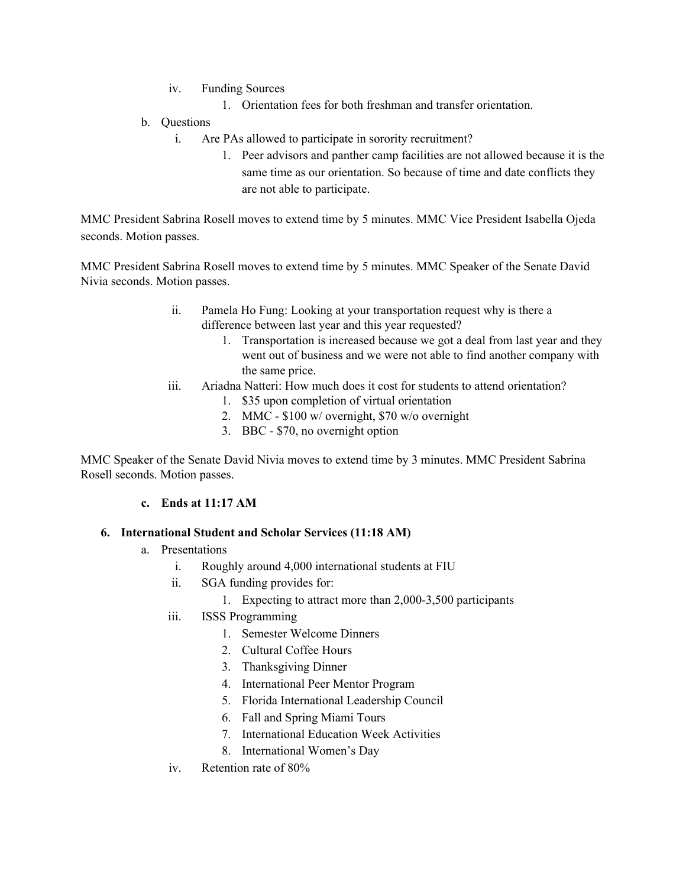- iv. Funding Sources
	- 1. Orientation fees for both freshman and transfer orientation.
- b. Questions
	- i. Are PAs allowed to participate in sorority recruitment?
		- 1. Peer advisors and panther camp facilities are not allowed because it is the same time as our orientation. So because of time and date conflicts they are not able to participate.

MMC President Sabrina Rosell moves to extend time by 5 minutes. MMC Vice President Isabella Ojeda seconds. Motion passes.

MMC President Sabrina Rosell moves to extend time by 5 minutes. MMC Speaker of the Senate David Nivia seconds. Motion passes.

- ii. Pamela Ho Fung: Looking at your transportation request why is there a difference between last year and this year requested?
	- 1. Transportation is increased because we got a deal from last year and they went out of business and we were not able to find another company with the same price.
- iii. Ariadna Natteri: How much does it cost for students to attend orientation?
	- 1. \$35 upon completion of virtual orientation
	- 2. MMC \$100 w/ overnight, \$70 w/o overnight
	- 3. BBC \$70, no overnight option

MMC Speaker of the Senate David Nivia moves to extend time by 3 minutes. MMC President Sabrina Rosell seconds. Motion passes.

#### **c. Ends at 11:17 AM**

#### **6. International Student and Scholar Services (11:18 AM)**

- a. Presentations
	- i. Roughly around 4,000 international students at FIU
	- ii. SGA funding provides for:
		- 1. Expecting to attract more than 2,000-3,500 participants
	- iii. ISSS Programming
		- 1. Semester Welcome Dinners
		- 2. Cultural Coffee Hours
		- 3. Thanksgiving Dinner
		- 4. International Peer Mentor Program
		- 5. Florida International Leadership Council
		- 6. Fall and Spring Miami Tours
		- 7. International Education Week Activities
		- 8. International Women's Day
	- iv. Retention rate of 80%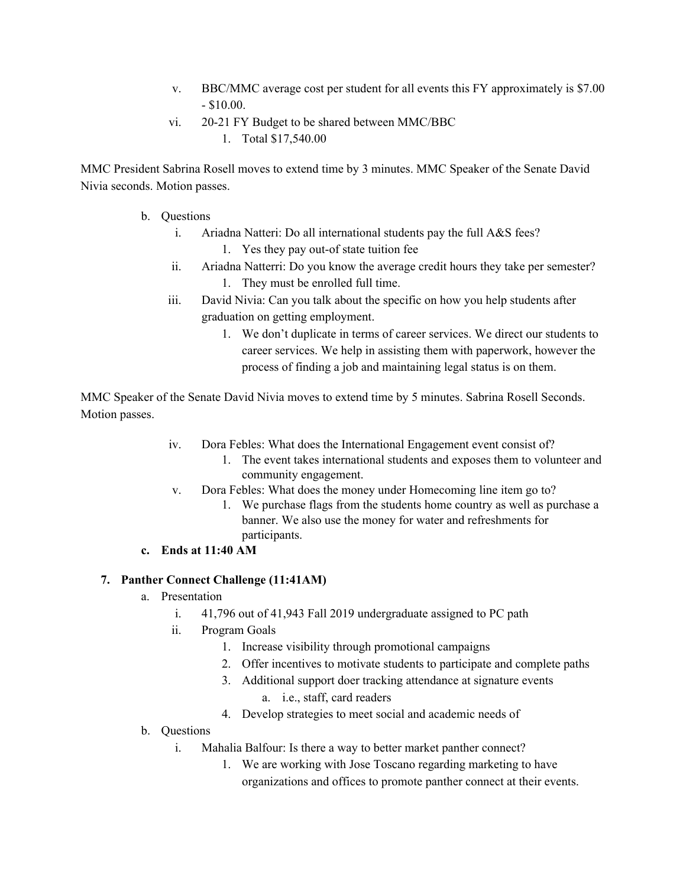- v. BBC/MMC average cost per student for all events this FY approximately is \$7.00  $-$  \$10.00.
- vi. 20-21 FY Budget to be shared between MMC/BBC
	- 1. Total \$17,540.00

MMC President Sabrina Rosell moves to extend time by 3 minutes. MMC Speaker of the Senate David Nivia seconds. Motion passes.

- b. Questions
	- i. Ariadna Natteri: Do all international students pay the full A&S fees?
		- 1. Yes they pay out-of state tuition fee
	- ii. Ariadna Natterri: Do you know the average credit hours they take per semester? 1. They must be enrolled full time.
	- iii. David Nivia: Can you talk about the specific on how you help students after graduation on getting employment.
		- 1. We don't duplicate in terms of career services. We direct our students to career services. We help in assisting them with paperwork, however the process of finding a job and maintaining legal status is on them.

MMC Speaker of the Senate David Nivia moves to extend time by 5 minutes. Sabrina Rosell Seconds. Motion passes.

- iv. Dora Febles: What does the International Engagement event consist of?
	- 1. The event takes international students and exposes them to volunteer and community engagement.
- v. Dora Febles: What does the money under Homecoming line item go to?
	- 1. We purchase flags from the students home country as well as purchase a banner. We also use the money for water and refreshments for participants.
- **c. Ends at 11:40 AM**

# **7. Panther Connect Challenge (11:41AM)**

- a. Presentation
	- i. 41,796 out of 41,943 Fall 2019 undergraduate assigned to PC path
	- ii. Program Goals
		- 1. Increase visibility through promotional campaigns
		- 2. Offer incentives to motivate students to participate and complete paths
		- 3. Additional support doer tracking attendance at signature events
			- a. i.e., staff, card readers
		- 4. Develop strategies to meet social and academic needs of
- b. Questions
	- i. Mahalia Balfour: Is there a way to better market panther connect?
		- 1. We are working with Jose Toscano regarding marketing to have organizations and offices to promote panther connect at their events.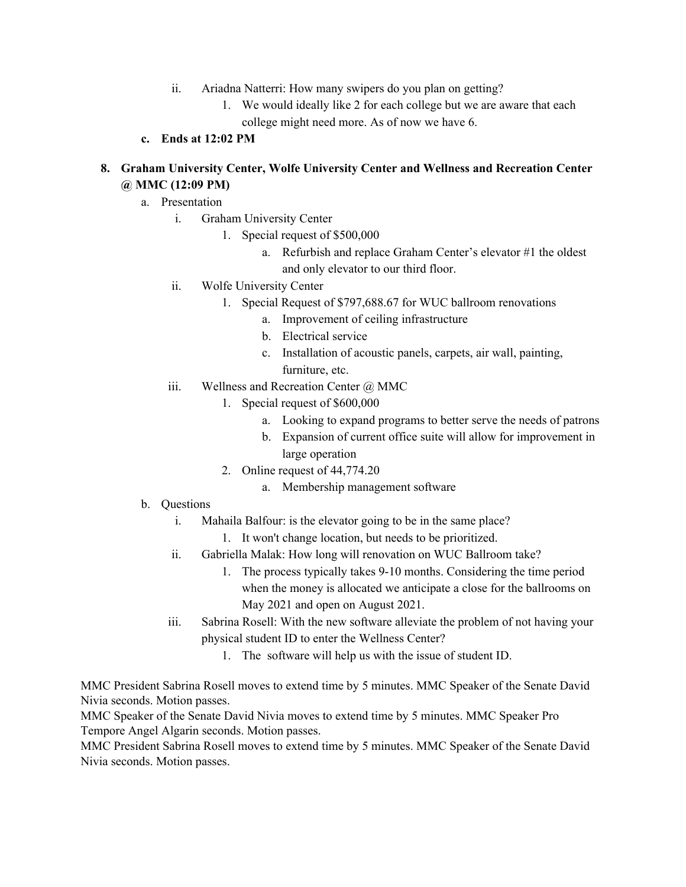- ii. Ariadna Natterri: How many swipers do you plan on getting?
	- 1. We would ideally like 2 for each college but we are aware that each college might need more. As of now we have 6.
- **c. Ends at 12:02 PM**

# **8. Graham University Center, Wolfe University Center and Wellness and Recreation Center @ MMC (12:09 PM)**

- a. Presentation
	- i. Graham University Center
		- 1. Special request of \$500,000
			- a. Refurbish and replace Graham Center's elevator #1 the oldest and only elevator to our third floor.
	- ii. Wolfe University Center
		- 1. Special Request of \$797,688.67 for WUC ballroom renovations
			- a. Improvement of ceiling infrastructure
			- b. Electrical service
			- c. Installation of acoustic panels, carpets, air wall, painting, furniture, etc.
	- iii. Wellness and Recreation Center  $\omega$  MMC
		- 1. Special request of \$600,000
			- a. Looking to expand programs to better serve the needs of patrons
			- b. Expansion of current office suite will allow for improvement in large operation
		- 2. Online request of 44,774.20
			- a. Membership management software
- b. Questions
	- i. Mahaila Balfour: is the elevator going to be in the same place?
		- 1. It won't change location, but needs to be prioritized.
	- ii. Gabriella Malak: How long will renovation on WUC Ballroom take?
		- 1. The process typically takes 9-10 months. Considering the time period when the money is allocated we anticipate a close for the ballrooms on May 2021 and open on August 2021.
	- iii. Sabrina Rosell: With the new software alleviate the problem of not having your physical student ID to enter the Wellness Center?
		- 1. The software will help us with the issue of student ID.

MMC President Sabrina Rosell moves to extend time by 5 minutes. MMC Speaker of the Senate David Nivia seconds. Motion passes.

MMC Speaker of the Senate David Nivia moves to extend time by 5 minutes. MMC Speaker Pro Tempore Angel Algarin seconds. Motion passes.

MMC President Sabrina Rosell moves to extend time by 5 minutes. MMC Speaker of the Senate David Nivia seconds. Motion passes.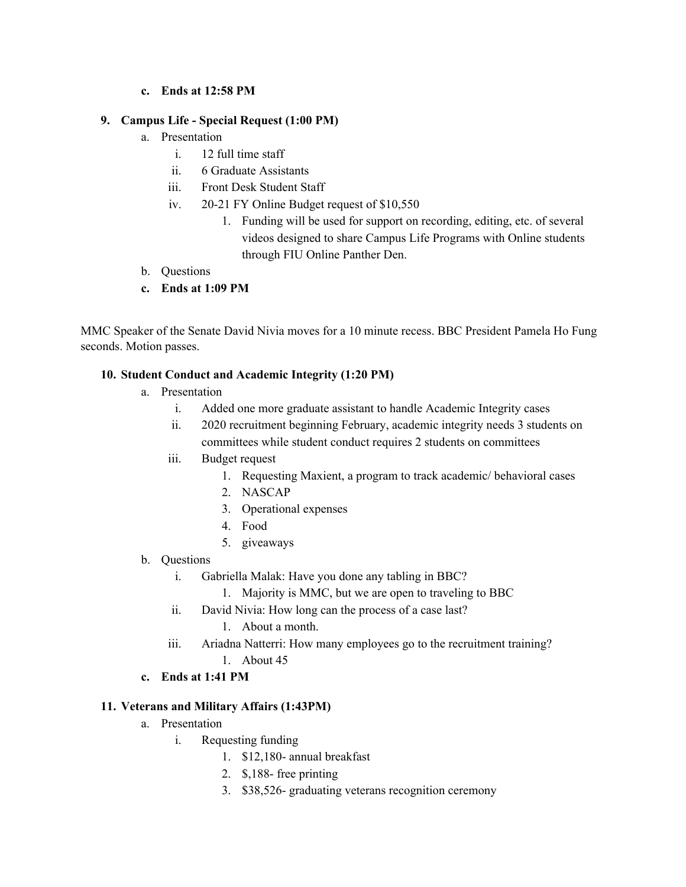### **c. Ends at 12:58 PM**

### **9. Campus Life - Special Request (1:00 PM)**

- a. Presentation
	- i. 12 full time staff
	- ii. 6 Graduate Assistants
	- iii. Front Desk Student Staff
	- iv. 20-21 FY Online Budget request of \$10,550
		- 1. Funding will be used for support on recording, editing, etc. of several videos designed to share Campus Life Programs with Online students through FIU Online Panther Den.
- b. Questions
- **c. Ends at 1:09 PM**

MMC Speaker of the Senate David Nivia moves for a 10 minute recess. BBC President Pamela Ho Fung seconds. Motion passes.

### **10. Student Conduct and Academic Integrity (1:20 PM)**

- a. Presentation
	- i. Added one more graduate assistant to handle Academic Integrity cases
	- ii. 2020 recruitment beginning February, academic integrity needs 3 students on committees while student conduct requires 2 students on committees
	- iii. Budget request
		- 1. Requesting Maxient, a program to track academic/ behavioral cases
		- 2. NASCAP
		- 3. Operational expenses
		- 4. Food
		- 5. giveaways
- b. Questions
	- i. Gabriella Malak: Have you done any tabling in BBC?
		- 1. Majority is MMC, but we are open to traveling to BBC
	- ii. David Nivia: How long can the process of a case last?
		- 1. About a month.
	- iii. Ariadna Natterri: How many employees go to the recruitment training?
		- 1. About 45
- **c. Ends at 1:41 PM**

#### **11. Veterans and Military Affairs (1:43PM)**

- a. Presentation
	- i. Requesting funding
		- 1. \$12,180- annual breakfast
		- 2. \$,188- free printing
		- 3. \$38,526- graduating veterans recognition ceremony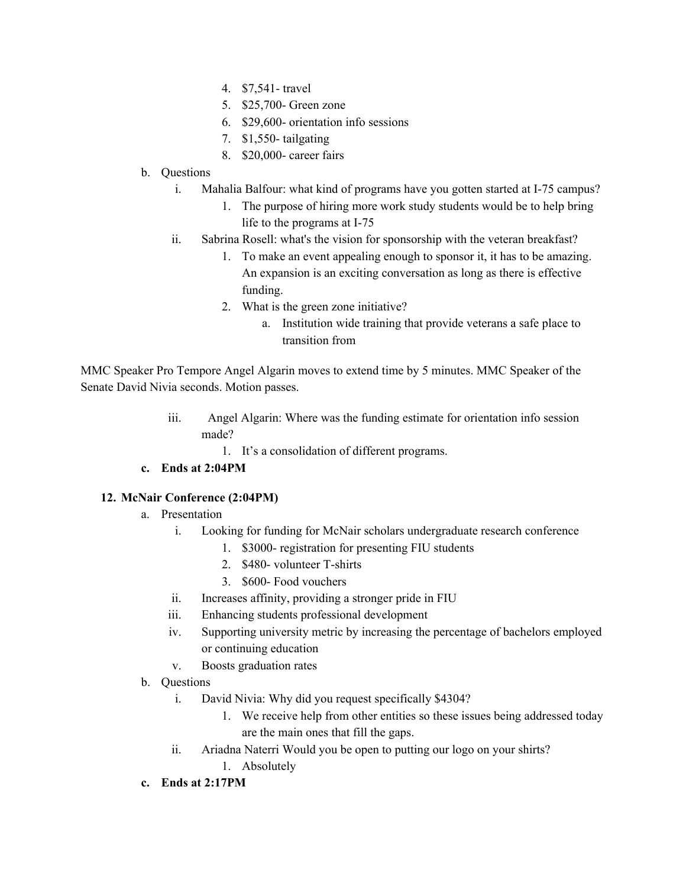- 4. \$7,541- travel
- 5. \$25,700- Green zone
- 6. \$29,600- orientation info sessions
- 7. \$1,550- tailgating
- 8. \$20,000- career fairs
- b. Questions
	- i. Mahalia Balfour: what kind of programs have you gotten started at I-75 campus?
		- 1. The purpose of hiring more work study students would be to help bring life to the programs at I-75
	- ii. Sabrina Rosell: what's the vision for sponsorship with the veteran breakfast?
		- 1. To make an event appealing enough to sponsor it, it has to be amazing. An expansion is an exciting conversation as long as there is effective funding.
		- 2. What is the green zone initiative?
			- a. Institution wide training that provide veterans a safe place to transition from

MMC Speaker Pro Tempore Angel Algarin moves to extend time by 5 minutes. MMC Speaker of the Senate David Nivia seconds. Motion passes.

- iii. Angel Algarin: Where was the funding estimate for orientation info session made?
	- 1. It's a consolidation of different programs.

# **c. Ends at 2:04PM**

## **12. McNair Conference (2:04PM)**

- a. Presentation
	- i. Looking for funding for McNair scholars undergraduate research conference
		- 1. \$3000- registration for presenting FIU students
		- 2. \$480- volunteer T-shirts
		- 3. \$600- Food vouchers
	- ii. Increases affinity, providing a stronger pride in FIU
	- iii. Enhancing students professional development
	- iv. Supporting university metric by increasing the percentage of bachelors employed or continuing education
	- v. Boosts graduation rates
- b. Questions
	- i. David Nivia: Why did you request specifically \$4304?
		- 1. We receive help from other entities so these issues being addressed today are the main ones that fill the gaps.
	- ii. Ariadna Naterri Would you be open to putting our logo on your shirts?
		- 1. Absolutely
- **c. Ends at 2:17PM**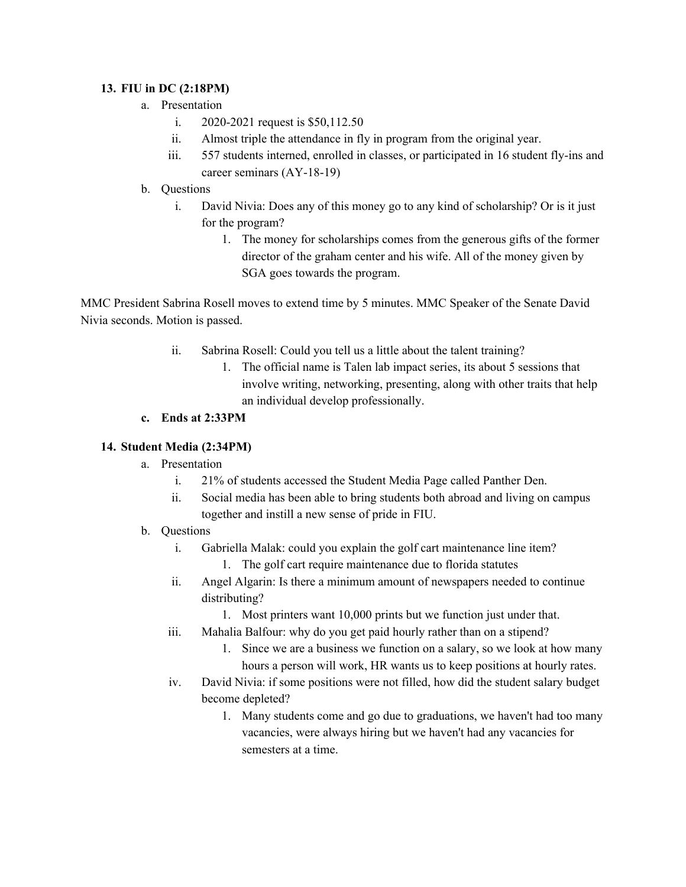## **13. FIU in DC (2:18PM)**

- a. Presentation
	- i. 2020-2021 request is \$50,112.50
	- ii. Almost triple the attendance in fly in program from the original year.
	- iii. 557 students interned, enrolled in classes, or participated in 16 student fly-ins and career seminars (AY-18-19)
- b. Questions
	- i. David Nivia: Does any of this money go to any kind of scholarship? Or is it just for the program?
		- 1. The money for scholarships comes from the generous gifts of the former director of the graham center and his wife. All of the money given by SGA goes towards the program.

MMC President Sabrina Rosell moves to extend time by 5 minutes. MMC Speaker of the Senate David Nivia seconds. Motion is passed.

- ii. Sabrina Rosell: Could you tell us a little about the talent training?
	- 1. The official name is Talen lab impact series, its about 5 sessions that involve writing, networking, presenting, along with other traits that help an individual develop professionally.

## **c. Ends at 2:33PM**

## **14. Student Media (2:34PM)**

- a. Presentation
	- i. 21% of students accessed the Student Media Page called Panther Den.
	- ii. Social media has been able to bring students both abroad and living on campus together and instill a new sense of pride in FIU.
- b. Questions
	- i. Gabriella Malak: could you explain the golf cart maintenance line item?
		- 1. The golf cart require maintenance due to florida statutes
	- ii. Angel Algarin: Is there a minimum amount of newspapers needed to continue distributing?
		- 1. Most printers want 10,000 prints but we function just under that.
	- iii. Mahalia Balfour: why do you get paid hourly rather than on a stipend?
		- 1. Since we are a business we function on a salary, so we look at how many hours a person will work, HR wants us to keep positions at hourly rates.
	- iv. David Nivia: if some positions were not filled, how did the student salary budget become depleted?
		- 1. Many students come and go due to graduations, we haven't had too many vacancies, were always hiring but we haven't had any vacancies for semesters at a time.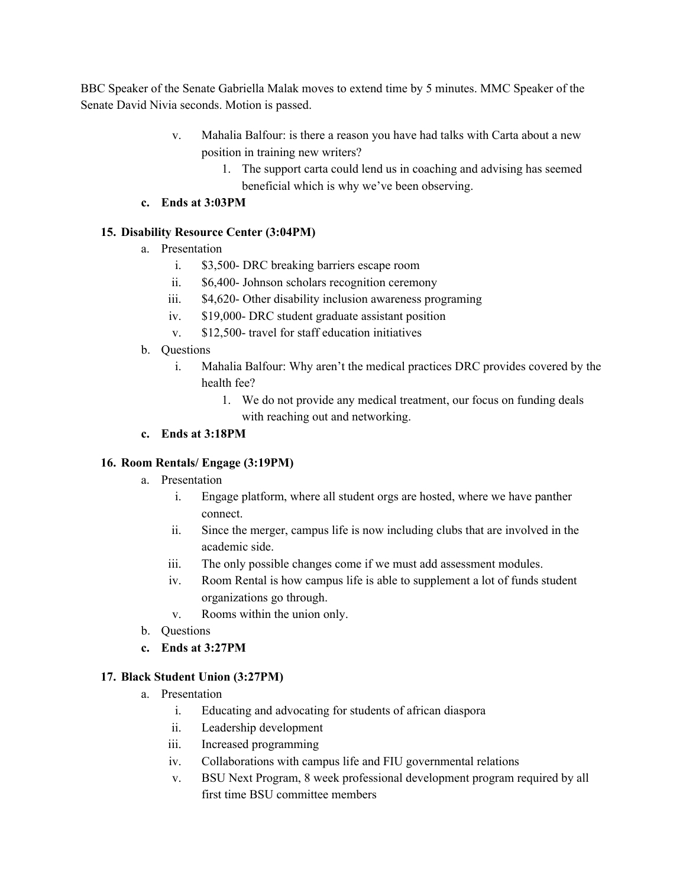BBC Speaker of the Senate Gabriella Malak moves to extend time by 5 minutes. MMC Speaker of the Senate David Nivia seconds. Motion is passed.

- v. Mahalia Balfour: is there a reason you have had talks with Carta about a new position in training new writers?
	- 1. The support carta could lend us in coaching and advising has seemed beneficial which is why we've been observing.
- **c. Ends at 3:03PM**

## **15. Disability Resource Center (3:04PM)**

- a. Presentation
	- i. \$3,500- DRC breaking barriers escape room
	- ii. \$6,400- Johnson scholars recognition ceremony
	- iii. \$4,620- Other disability inclusion awareness programing
	- iv. \$19,000- DRC student graduate assistant position
	- v. \$12,500- travel for staff education initiatives
- b. Questions
	- i. Mahalia Balfour: Why aren't the medical practices DRC provides covered by the health fee?
		- 1. We do not provide any medical treatment, our focus on funding deals with reaching out and networking.

## **c. Ends at 3:18PM**

## **16. Room Rentals/ Engage (3:19PM)**

- a. Presentation
	- i. Engage platform, where all student orgs are hosted, where we have panther connect.
	- ii. Since the merger, campus life is now including clubs that are involved in the academic side.
	- iii. The only possible changes come if we must add assessment modules.
	- iv. Room Rental is how campus life is able to supplement a lot of funds student organizations go through.
	- v. Rooms within the union only.
- b. Questions
- **c. Ends at 3:27PM**

# **17. Black Student Union (3:27PM)**

- a. Presentation
	- i. Educating and advocating for students of african diaspora
	- ii. Leadership development
	- iii. Increased programming
	- iv. Collaborations with campus life and FIU governmental relations
	- v. BSU Next Program, 8 week professional development program required by all first time BSU committee members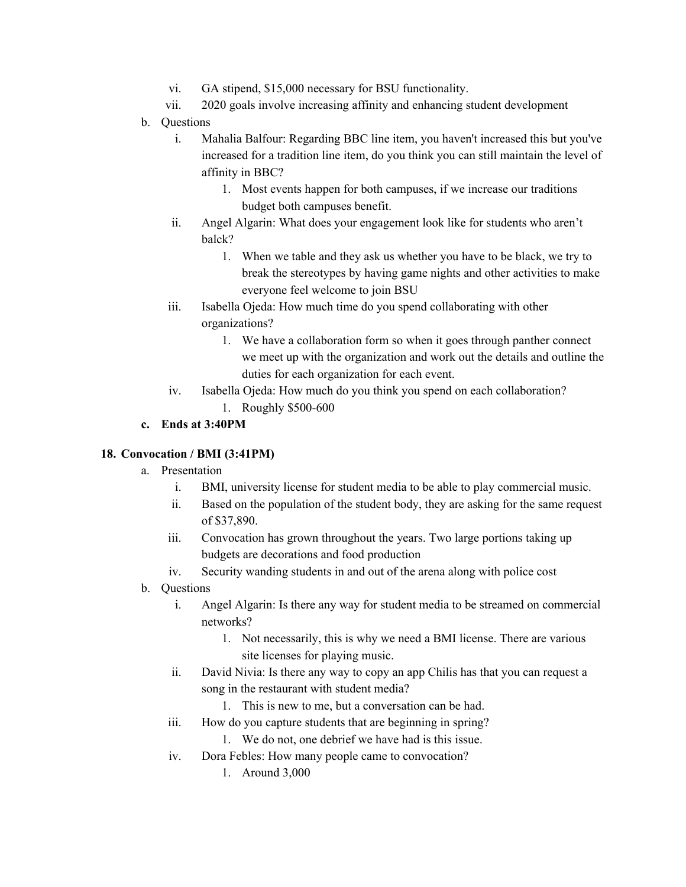- vi. GA stipend, \$15,000 necessary for BSU functionality.
- vii. 2020 goals involve increasing affinity and enhancing student development
- b. Questions
	- i. Mahalia Balfour: Regarding BBC line item, you haven't increased this but you've increased for a tradition line item, do you think you can still maintain the level of affinity in BBC?
		- 1. Most events happen for both campuses, if we increase our traditions budget both campuses benefit.
	- ii. Angel Algarin: What does your engagement look like for students who aren't balck?
		- 1. When we table and they ask us whether you have to be black, we try to break the stereotypes by having game nights and other activities to make everyone feel welcome to join BSU
	- iii. Isabella Ojeda: How much time do you spend collaborating with other organizations?
		- 1. We have a collaboration form so when it goes through panther connect we meet up with the organization and work out the details and outline the duties for each organization for each event.
	- iv. Isabella Ojeda: How much do you think you spend on each collaboration? 1. Roughly \$500-600

## **c. Ends at 3:40PM**

## **18. Convocation / BMI (3:41PM)**

- a. Presentation
	- i. BMI, university license for student media to be able to play commercial music.
	- ii. Based on the population of the student body, they are asking for the same request of \$37,890.
	- iii. Convocation has grown throughout the years. Two large portions taking up budgets are decorations and food production
	- iv. Security wanding students in and out of the arena along with police cost
- b. Questions
	- i. Angel Algarin: Is there any way for student media to be streamed on commercial networks?
		- 1. Not necessarily, this is why we need a BMI license. There are various site licenses for playing music.
	- ii. David Nivia: Is there any way to copy an app Chilis has that you can request a song in the restaurant with student media?
		- 1. This is new to me, but a conversation can be had.
	- iii. How do you capture students that are beginning in spring?
		- 1. We do not, one debrief we have had is this issue.
	- iv. Dora Febles: How many people came to convocation?
		- 1. Around 3,000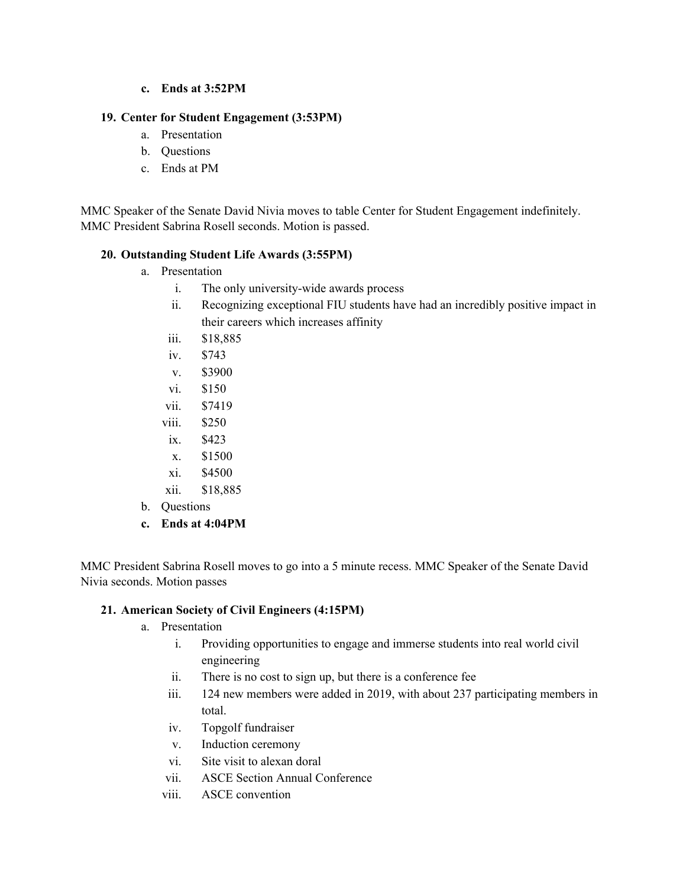**c. Ends at 3:52PM**

## **19. Center for Student Engagement (3:53PM)**

- a. Presentation
- b. Questions
- c. Ends at PM

MMC Speaker of the Senate David Nivia moves to table Center for Student Engagement indefinitely. MMC President Sabrina Rosell seconds. Motion is passed.

### **20. Outstanding Student Life Awards (3:55PM)**

- a. Presentation
	- i. The only university-wide awards process
	- ii. Recognizing exceptional FIU students have had an incredibly positive impact in their careers which increases affinity
	- iii. \$18,885
	- iv. \$743
	- v. \$3900
	- vi. \$150
	- vii. \$7419
	- viii. \$250
	- ix. \$423
	- x. \$1500
	- xi. \$4500
	- xii. \$18,885
- b. Questions
- **c. Ends at 4:04PM**

MMC President Sabrina Rosell moves to go into a 5 minute recess. MMC Speaker of the Senate David Nivia seconds. Motion passes

## **21. American Society of Civil Engineers (4:15PM)**

- a. Presentation
	- i. Providing opportunities to engage and immerse students into real world civil engineering
	- ii. There is no cost to sign up, but there is a conference fee
	- iii. 124 new members were added in 2019, with about 237 participating members in total.
	- iv. Topgolf fundraiser
	- v. Induction ceremony
	- vi. Site visit to alexan doral
	- vii. ASCE Section Annual Conference
	- viii. ASCE convention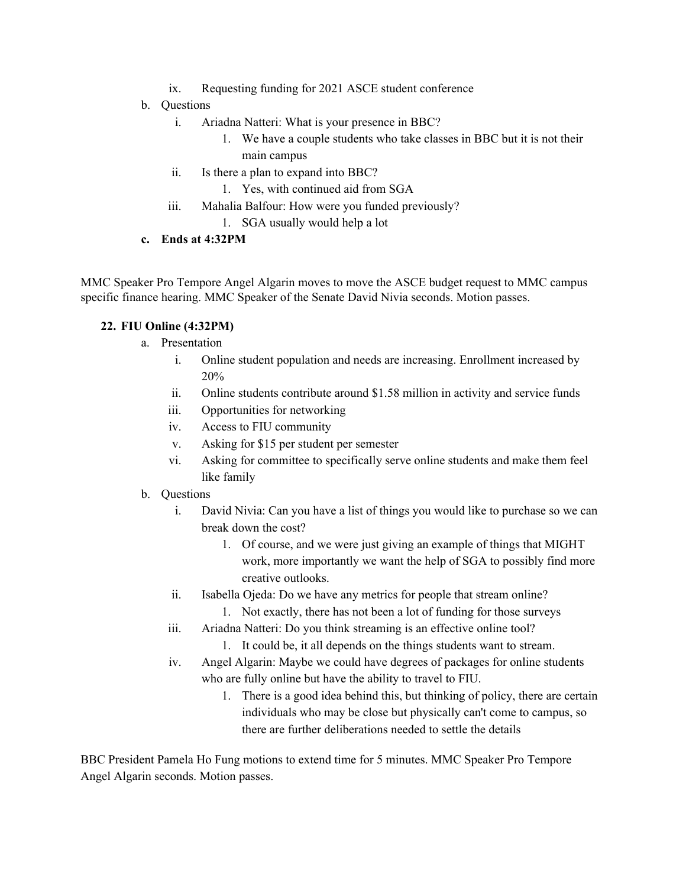- ix. Requesting funding for 2021 ASCE student conference
- b. Questions
	- i. Ariadna Natteri: What is your presence in BBC?
		- 1. We have a couple students who take classes in BBC but it is not their main campus
	- ii. Is there a plan to expand into BBC?
		- 1. Yes, with continued aid from SGA
	- iii. Mahalia Balfour: How were you funded previously?
		- 1. SGA usually would help a lot
- **c. Ends at 4:32PM**

MMC Speaker Pro Tempore Angel Algarin moves to move the ASCE budget request to MMC campus specific finance hearing. MMC Speaker of the Senate David Nivia seconds. Motion passes.

## **22. FIU Online (4:32PM)**

- a. Presentation
	- i. Online student population and needs are increasing. Enrollment increased by 20%
	- ii. Online students contribute around \$1.58 million in activity and service funds
	- iii. Opportunities for networking
	- iv. Access to FIU community
	- v. Asking for \$15 per student per semester
	- vi. Asking for committee to specifically serve online students and make them feel like family
- b. Questions
	- i. David Nivia: Can you have a list of things you would like to purchase so we can break down the cost?
		- 1. Of course, and we were just giving an example of things that MIGHT work, more importantly we want the help of SGA to possibly find more creative outlooks.
	- ii. Isabella Ojeda: Do we have any metrics for people that stream online?
		- 1. Not exactly, there has not been a lot of funding for those surveys
	- iii. Ariadna Natteri: Do you think streaming is an effective online tool?
		- 1. It could be, it all depends on the things students want to stream.
	- iv. Angel Algarin: Maybe we could have degrees of packages for online students who are fully online but have the ability to travel to FIU.
		- 1. There is a good idea behind this, but thinking of policy, there are certain individuals who may be close but physically can't come to campus, so there are further deliberations needed to settle the details

BBC President Pamela Ho Fung motions to extend time for 5 minutes. MMC Speaker Pro Tempore Angel Algarin seconds. Motion passes.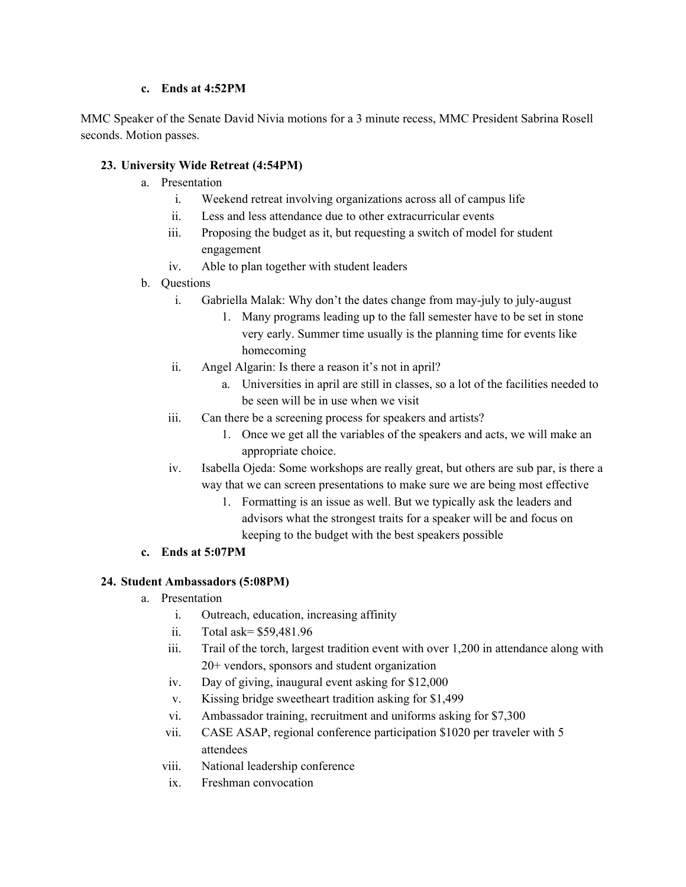#### **c. Ends at 4:52PM**

MMC Speaker of the Senate David Nivia motions for a 3 minute recess, MMC President Sabrina Rosell seconds. Motion passes.

## **23. University Wide Retreat (4:54PM)**

- a. Presentation
	- i. Weekend retreat involving organizations across all of campus life
	- ii. Less and less attendance due to other extracurricular events
	- iii. Proposing the budget as it, but requesting a switch of model for student engagement
	- iv. Able to plan together with student leaders
- b. Questions
	- i. Gabriella Malak: Why don't the dates change from may-july to july-august
		- 1. Many programs leading up to the fall semester have to be set in stone very early. Summer time usually is the planning time for events like homecoming
	- ii. Angel Algarin: Is there a reason it's not in april?
		- a. Universities in april are still in classes, so a lot of the facilities needed to be seen will be in use when we visit
	- iii. Can there be a screening process for speakers and artists?
		- 1. Once we get all the variables of the speakers and acts, we will make an appropriate choice.
	- iv. Isabella Ojeda: Some workshops are really great, but others are sub par, is there a way that we can screen presentations to make sure we are being most effective
		- 1. Formatting is an issue as well. But we typically ask the leaders and advisors what the strongest traits for a speaker will be and focus on keeping to the budget with the best speakers possible
- **c. Ends at 5:07PM**

# **24. Student Ambassadors (5:08PM)**

- a. Presentation
	- i. Outreach, education, increasing affinity
	- ii. Total ask= \$59,481.96
	- iii. Trail of the torch, largest tradition event with over 1,200 in attendance along with 20+ vendors, sponsors and student organization
	- iv. Day of giving, inaugural event asking for \$12,000
	- v. Kissing bridge sweetheart tradition asking for \$1,499
	- vi. Ambassador training, recruitment and uniforms asking for \$7,300
	- vii. CASE ASAP, regional conference participation \$1020 per traveler with 5 attendees
	- viii. National leadership conference
	- ix. Freshman convocation